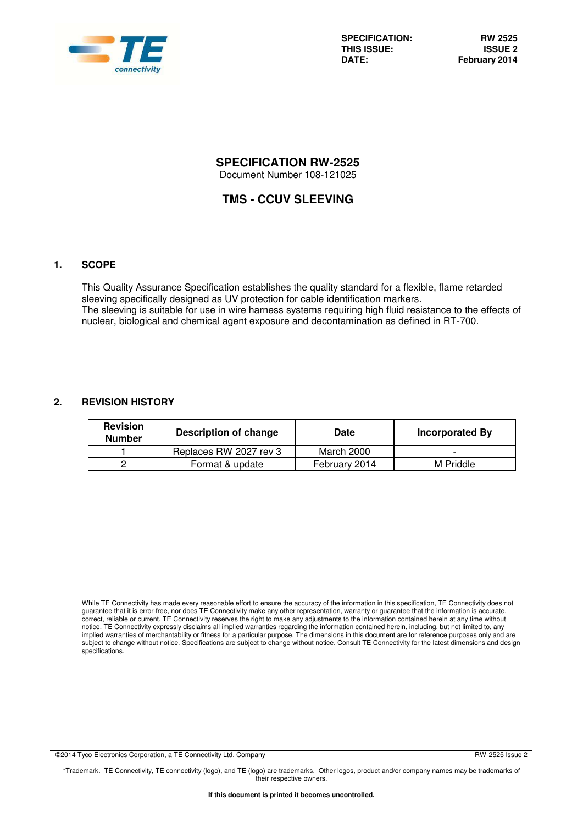

**SPECIFICATION: RW 2525**  THIS ISSUE:<br>DATE:

# **SPECIFICATION RW-2525**

Document Number 108-121025

# **TMS - CCUV SLEEVING**

# **1. SCOPE**

This Quality Assurance Specification establishes the quality standard for a flexible, flame retarded sleeving specifically designed as UV protection for cable identification markers. The sleeving is suitable for use in wire harness systems requiring high fluid resistance to the effects of nuclear, biological and chemical agent exposure and decontamination as defined in RT-700.

# **2. REVISION HISTORY**

| <b>Revision</b><br><b>Number</b> | Description of change  | Date          | Incorporated By |
|----------------------------------|------------------------|---------------|-----------------|
|                                  | Replaces RW 2027 rev 3 | March 2000    |                 |
|                                  | Format & update        | February 2014 | M Priddle       |

While TE Connectivity has made every reasonable effort to ensure the accuracy of the information in this specification, TE Connectivity does not guarantee that it is error-free, nor does TE Connectivity make any other representation, warranty or guarantee that the information is accurate, correct, reliable or current. TE Connectivity reserves the right to make any adjustments to the information contained herein at any time without notice. TE Connectivity expressly disclaims all implied warranties regarding the information contained herein, including, but not limited to, any implied warranties of merchantability or fitness for a particular purpose. The dimensions in this document are for reference purposes only and are subject to change without notice. Specifications are subject to change without notice. Consult TE Connectivity for the latest dimensions and design specifications.

©2014 Tyco Electronics Corporation, a TE Connectivity Ltd. Company **RW-2525** Issue 2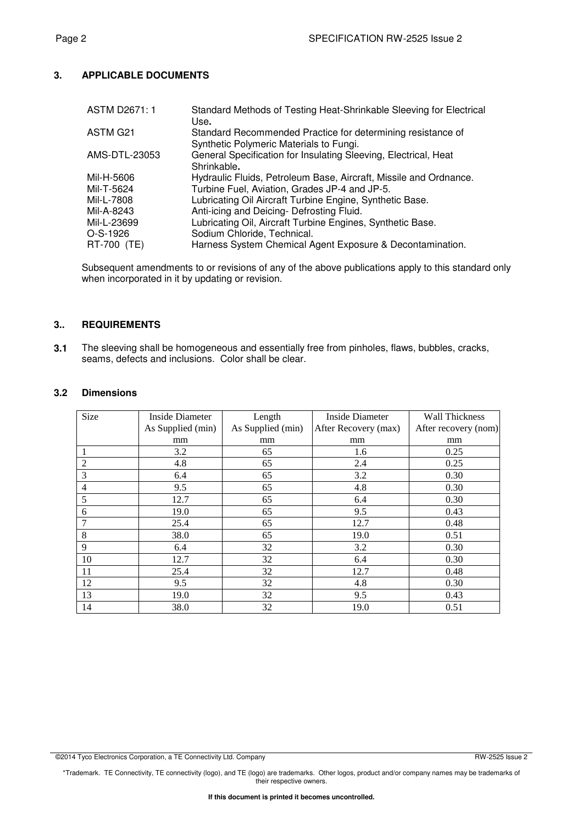# **3. APPLICABLE DOCUMENTS**

| <b>ASTM D2671:1</b> | Standard Methods of Testing Heat-Shrinkable Sleeving for Electrical<br>Use.                            |
|---------------------|--------------------------------------------------------------------------------------------------------|
| ASTM G21            | Standard Recommended Practice for determining resistance of<br>Synthetic Polymeric Materials to Fungi. |
| AMS-DTL-23053       | General Specification for Insulating Sleeving, Electrical, Heat<br>Shrinkable.                         |
| Mil-H-5606          | Hydraulic Fluids, Petroleum Base, Aircraft, Missile and Ordnance.                                      |
| Mil-T-5624          | Turbine Fuel, Aviation, Grades JP-4 and JP-5.                                                          |
| Mil-L-7808          | Lubricating Oil Aircraft Turbine Engine, Synthetic Base.                                               |
| Mil-A-8243          | Anti-icing and Deicing- Defrosting Fluid.                                                              |
| Mil-L-23699         | Lubricating Oil, Aircraft Turbine Engines, Synthetic Base.                                             |
| $O-S-1926$          | Sodium Chloride, Technical.                                                                            |
| RT-700 (TE)         | Harness System Chemical Agent Exposure & Decontamination.                                              |

Subsequent amendments to or revisions of any of the above publications apply to this standard only when incorporated in it by updating or revision.

# **3.. REQUIREMENTS**

**3.1** The sleeving shall be homogeneous and essentially free from pinholes, flaws, bubbles, cracks, seams, defects and inclusions. Color shall be clear.

#### **3.2 Dimensions**

| Size           | Inside Diameter   | Length            | Inside Diameter      | <b>Wall Thickness</b> |
|----------------|-------------------|-------------------|----------------------|-----------------------|
|                | As Supplied (min) | As Supplied (min) | After Recovery (max) | After recovery (nom)  |
|                | mm                | mm                | mm                   | mm                    |
| 1              | 3.2               | 65                | 1.6                  | 0.25                  |
| $\overline{2}$ | 4.8               | 65                | 2.4                  | 0.25                  |
| 3              | 6.4               | 65                | 3.2                  | 0.30                  |
| $\overline{4}$ | 9.5               | 65                | 4.8                  | 0.30                  |
| 5              | 12.7              | 65                | 6.4                  | 0.30                  |
| 6              | 19.0              | 65                | 9.5                  | 0.43                  |
| 7              | 25.4              | 65                | 12.7                 | 0.48                  |
| 8              | 38.0              | 65                | 19.0                 | 0.51                  |
| 9              | 6.4               | 32                | 3.2                  | 0.30                  |
| 10             | 12.7              | 32                | 6.4                  | 0.30                  |
| 11             | 25.4              | 32                | 12.7                 | 0.48                  |
| 12             | 9.5               | 32                | 4.8                  | 0.30                  |
| 13             | 19.0              | 32                | 9.5                  | 0.43                  |
| 14             | 38.0              | 32                | 19.0                 | 0.51                  |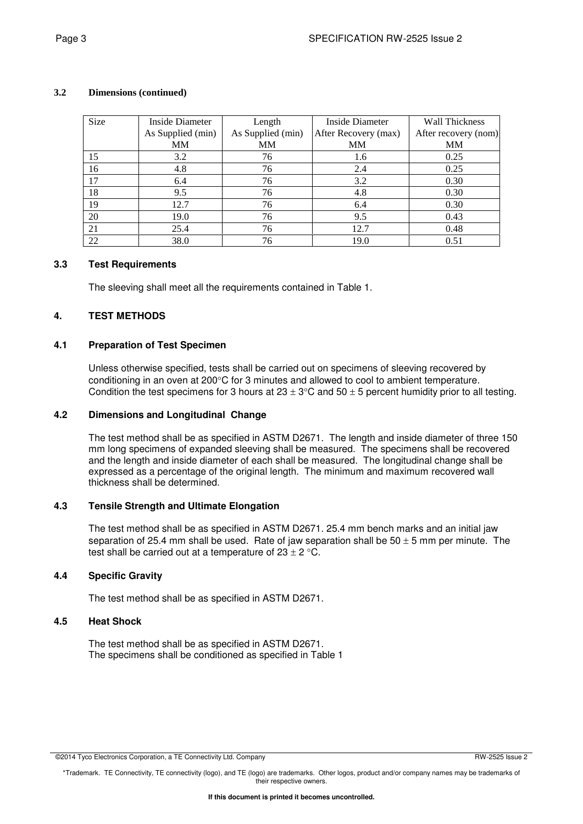| Size | Inside Diameter   | Length            | Inside Diameter      | <b>Wall Thickness</b> |
|------|-------------------|-------------------|----------------------|-----------------------|
|      | As Supplied (min) | As Supplied (min) | After Recovery (max) | After recovery (nom)  |
|      | MM                | MM                | <b>MM</b>            | МM                    |
| 15   | 3.2               | 76                | 1.6                  | 0.25                  |
| 16   | 4.8               | 76                | 2.4                  | 0.25                  |
| 17   | 6.4               | 76                | 3.2                  | 0.30                  |
| 18   | 9.5               | 76                | 4.8                  | 0.30                  |
| 19   | 12.7              | 76                | 6.4                  | 0.30                  |
| 20   | 19.0              | 76                | 9.5                  | 0.43                  |
| 21   | 25.4              | 76                | 12.7                 | 0.48                  |
| 22   | 38.0              | 76                | 19.0                 | 0.51                  |

#### **3.2 Dimensions (continued)**

#### **3.3 Test Requirements**

The sleeving shall meet all the requirements contained in Table 1.

#### **4. TEST METHODS**

#### **4.1 Preparation of Test Specimen**

Unless otherwise specified, tests shall be carried out on specimens of sleeving recovered by conditioning in an oven at 200°C for 3 minutes and allowed to cool to ambient temperature. Condition the test specimens for 3 hours at  $23 \pm 3^{\circ}$ C and  $50 \pm 5$  percent humidity prior to all testing.

### **4.2 Dimensions and Longitudinal Change**

The test method shall be as specified in ASTM D2671. The length and inside diameter of three 150 mm long specimens of expanded sleeving shall be measured. The specimens shall be recovered and the length and inside diameter of each shall be measured. The longitudinal change shall be expressed as a percentage of the original length. The minimum and maximum recovered wall thickness shall be determined.

#### **4.3 Tensile Strength and Ultimate Elongation**

The test method shall be as specified in ASTM D2671. 25.4 mm bench marks and an initial jaw separation of 25.4 mm shall be used. Rate of jaw separation shall be  $50 \pm 5$  mm per minute. The test shall be carried out at a temperature of  $23 \pm 2$  °C.

# **4.4 Specific Gravity**

The test method shall be as specified in ASTM D2671.

#### **4.5 Heat Shock**

The test method shall be as specified in ASTM D2671. The specimens shall be conditioned as specified in Table 1

©2014 Tyco Electronics Corporation, a TE Connectivity Ltd. Company RW-2525 Issue 2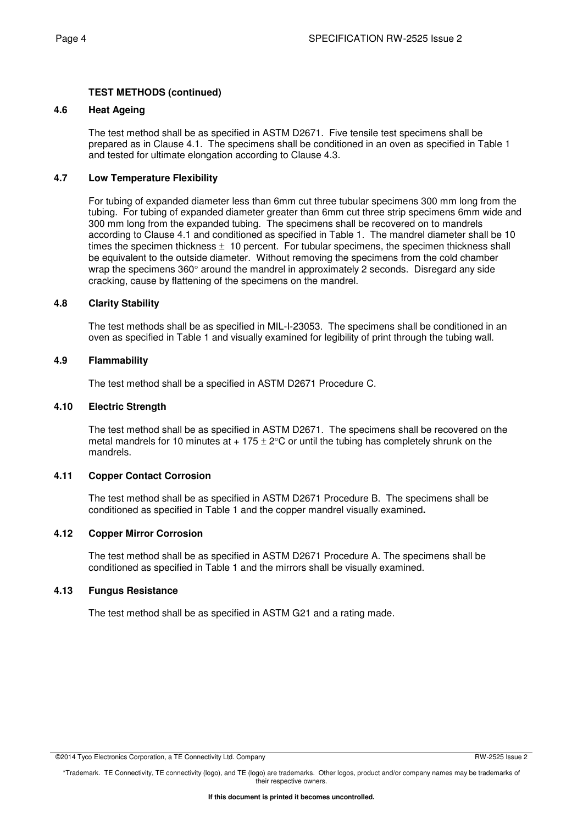# **TEST METHODS (continued)**

#### **4.6 Heat Ageing**

The test method shall be as specified in ASTM D2671. Five tensile test specimens shall be prepared as in Clause 4.1. The specimens shall be conditioned in an oven as specified in Table 1 and tested for ultimate elongation according to Clause 4.3.

### **4.7 Low Temperature Flexibility**

For tubing of expanded diameter less than 6mm cut three tubular specimens 300 mm long from the tubing. For tubing of expanded diameter greater than 6mm cut three strip specimens 6mm wide and 300 mm long from the expanded tubing. The specimens shall be recovered on to mandrels according to Clause 4.1 and conditioned as specified in Table 1. The mandrel diameter shall be 10 times the specimen thickness  $\pm$  10 percent. For tubular specimens, the specimen thickness shall be equivalent to the outside diameter. Without removing the specimens from the cold chamber wrap the specimens  $360^\circ$  around the mandrel in approximately 2 seconds. Disregard any side cracking, cause by flattening of the specimens on the mandrel.

#### **4.8 Clarity Stability**

The test methods shall be as specified in MIL-I-23053. The specimens shall be conditioned in an oven as specified in Table 1 and visually examined for legibility of print through the tubing wall.

#### **4.9 Flammability**

The test method shall be a specified in ASTM D2671 Procedure C.

#### **4.10 Electric Strength**

The test method shall be as specified in ASTM D2671. The specimens shall be recovered on the metal mandrels for 10 minutes at  $+ 175 \pm 2^{\circ}$ C or until the tubing has completely shrunk on the mandrels.

# **4.11 Copper Contact Corrosion**

The test method shall be as specified in ASTM D2671 Procedure B. The specimens shall be conditioned as specified in Table 1 and the copper mandrel visually examined**.** 

#### **4.12 Copper Mirror Corrosion**

The test method shall be as specified in ASTM D2671 Procedure A. The specimens shall be conditioned as specified in Table 1 and the mirrors shall be visually examined.

#### **4.13 Fungus Resistance**

The test method shall be as specified in ASTM G21 and a rating made.

<sup>©2014</sup> Tyco Electronics Corporation, a TE Connectivity Ltd. Company RW-2525 Issue 2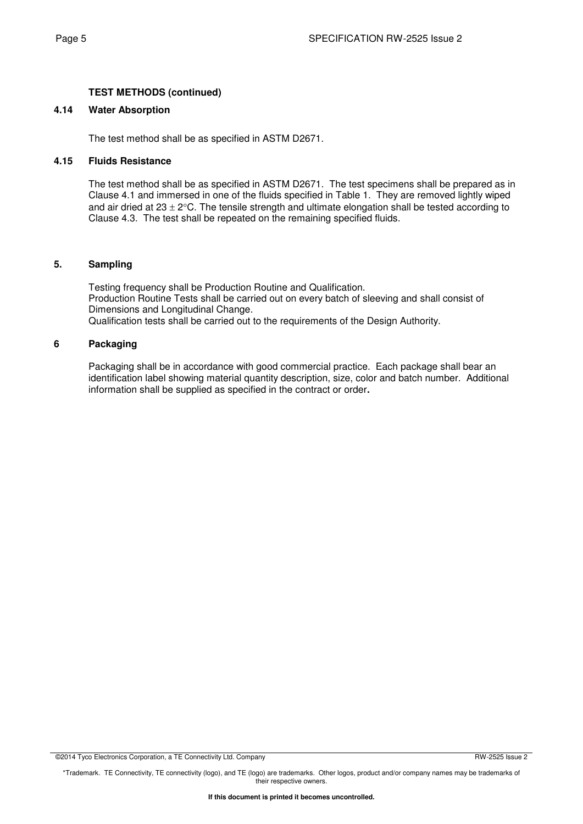# **TEST METHODS (continued)**

#### **4.14 Water Absorption**

The test method shall be as specified in ASTM D2671.

#### **4.15 Fluids Resistance**

The test method shall be as specified in ASTM D2671. The test specimens shall be prepared as in Clause 4.1 and immersed in one of the fluids specified in Table 1. They are removed lightly wiped and air dried at  $23 \pm 2^{\circ}$ C. The tensile strength and ultimate elongation shall be tested according to Clause 4.3. The test shall be repeated on the remaining specified fluids.

#### **5. Sampling**

Testing frequency shall be Production Routine and Qualification. Production Routine Tests shall be carried out on every batch of sleeving and shall consist of Dimensions and Longitudinal Change. Qualification tests shall be carried out to the requirements of the Design Authority.

#### **6 Packaging**

Packaging shall be in accordance with good commercial practice. Each package shall bear an identification label showing material quantity description, size, color and batch number. Additional information shall be supplied as specified in the contract or order**.**